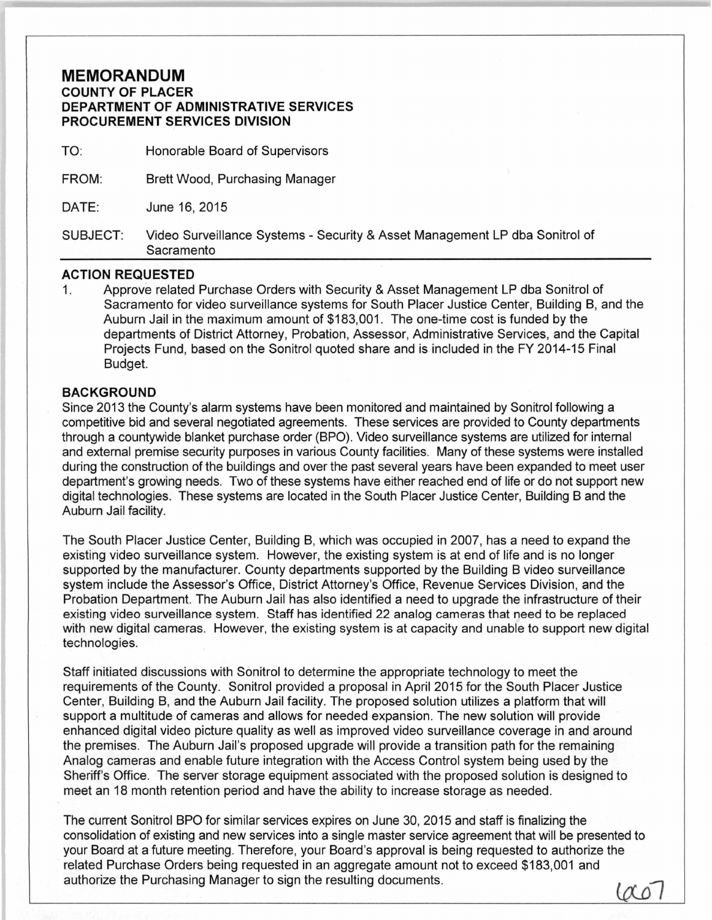## **MEMORANDUM COUNTY OF PLACER DEPARTMENT OF ADMINISTRATIVE SERVICES PROCUREMENT SERVICES DIVISION**

TO: Honorable Board of Supervisors

FROM: Brett Wood, Purchasing Manager

DATE: June 16, 2015

SUBJECT: Video Surveillance Systems - Security & Asset Management LP dba Sonitrol of Sacramento

## **ACTION REQUESTED**

1. Approve related Purchase Orders with Security & Asset Management LP dba Sonitrol of Sacramento for video surveillance systems for South Placer Justice Center, Building B, and the Auburn Jail in the maximum amount of \$183,001. The one-time cost is funded by the departments of District Attorney, Probation, Assessor, Administrative Services, and the Capital Projects Fund, based on the Sonitrol quoted share and is included in the FY 2014-15 Final Budget.

## **BACKGROUND**

Since 2013 the County's alarm systems have been monitored and maintained by Sonitrol following a competitive bid and several negotiated agreements. These services are provided to County departments through a countywide blanket purchase order (BPO). Video surveillance systems are utilized for internal and external premise security purposes in various County facilities. Many of these systems were installed during the construction of the buildings and over the past several years have been expanded to meet user department's growing needs. Two of these systems have either reached end of life or do not support new digital technologies. These systems are located in the South Placer Justice Center, Building B and the Auburn Jail facility.

The South Placer Justice Center, Building B, which was occupied in 2007, has a need to expand the existing video surveillance system. However, the existing system is at end of life and is no longer supported by the manufacturer. County departments supported by the Building B video surveillance system include the Assessor's Office, District Attorney's Office, Revenue Services Division, and the Probation Department. The Auburn Jail has also identified a need to upgrade the infrastructure of their existing video surveillance system. Staff has identified 22 analog cameras that need to be replaced with new digital cameras. However, the existing system is at capacity and unable to support new digital technologies.

Staff initiated discussions with Sonitrol to determine the appropriate technology to meet the requirements of the County. Sonitrol provided a proposal in April 2015 for the South Placer Justice Center, Building B, and the Auburn Jail facility. The proposed solution utilizes a platform that will support a multitude of cameras and allows for needed expansion. The new solution will provide enhanced digital video picture quality as well as improved video surveillance coverage in and around the premises. The Auburn Jail's proposed upgrade will provide a transition path for the remaining Analog cameras and enable future integration with the Access Control system being used by the Sheriff's Office. The server storage equipment associated with the proposed solution is designed to meet an 18 month retention period and have the ability to increase storage as needed.

The current Sonitrol BPO for similar services expires on June 30, 2015 and staff is finalizing the consolidation of existing and new services into a single master service agreement that will be presented to your Board at a future meeting. Therefore, your Board's approval is being requested to authorize the related Purchase Orders being requested in an aggregate amount not to exceed \$183,001 and authorize the Purchasing Manager to sign the resulting documents.

 $\omega$